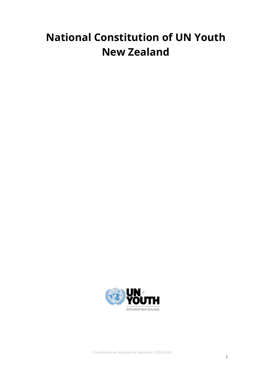# **National Constitution of UN Youth New Zealand**



Constitution as Adopted at December 2020 AGM.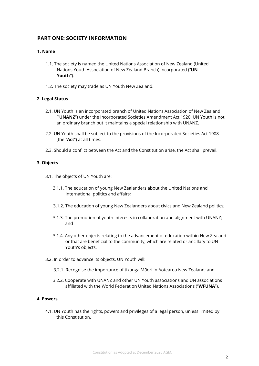# **PART ONE: SOCIETY INFORMATION**

# **1. Name**

- 1.1. The society is named the United Nations Association of New Zealand (United Nations Youth Association of New Zealand Branch) Incorporated ("**UN Youth"**).
- 1.2. The society may trade as UN Youth New Zealand.

# **2. Legal Status**

- 2.1. UN Youth is an incorporated branch of United Nations Association of New Zealand ("**UNANZ**") under the Incorporated Societies Amendment Act 1920. UN Youth is not an ordinary branch but it maintains a special relationship with UNANZ.
- 2.2. UN Youth shall be subject to the provisions of the Incorporated Societies Act 1908 (the "**Act**") at all times.
- 2.3. Should a conflict between the Act and the Constitution arise, the Act shall prevail.

# **3. Objects**

- 3.1. The objects of UN Youth are:
	- 3.1.1. The education of young New Zealanders about the United Nations and international politics and affairs;
	- 3.1.2. The education of young New Zealanders about civics and New Zealand politics;
	- 3.1.3. The promotion of youth interests in collaboration and alignment with UNANZ; and
	- 3.1.4. Any other objects relating to the advancement of education within New Zealand or that are beneficial to the community, which are related or ancillary to UN Youth's objects.
- 3.2. In order to advance its objects, UN Youth will:
	- 3.2.1. Recognise the importance of tikanga Māori in Aotearoa New Zealand; and
	- 3.2.2. Cooperate with UNANZ and other UN Youth associations and UN associations affiliated with the World Federation United Nations Associations ("**WFUNA**").

#### **4. Powers**

4.1. UN Youth has the rights, powers and privileges of a legal person, unless limited by this Constitution.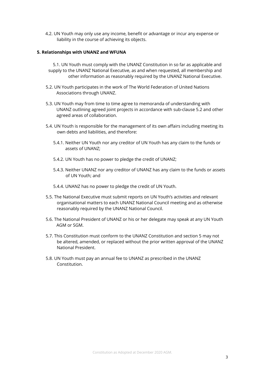4.2. UN Youth may only use any income, benefit or advantage or incur any expense or liability in the course of achieving its objects.

#### **5. Relationships with UNANZ and WFUNA**

5.1. UN Youth must comply with the UNANZ Constitution in so far as applicable and supply to the UNANZ National Executive, as and when requested, all membership and other information as reasonably required by the UNANZ National Executive.

- 5.2. UN Youth participates in the work of The World Federation of United Nations Associations through UNANZ.
- 5.3. UN Youth may from time to time agree to memoranda of understanding with UNANZ outlining agreed joint projects in accordance with sub-clause 5.2 and other agreed areas of collaboration.
- 5.4. UN Youth is responsible for the management of its own affairs including meeting its own debts and liabilities, and therefore:
	- 5.4.1. Neither UN Youth nor any creditor of UN Youth has any claim to the funds or assets of UNANZ;
	- 5.4.2. UN Youth has no power to pledge the credit of UNANZ;
	- 5.4.3. Neither UNANZ nor any creditor of UNANZ has any claim to the funds or assets of UN Youth; and
	- 5.4.4. UNANZ has no power to pledge the credit of UN Youth.
- 5.5. The National Executive must submit reports on UN Youth's activities and relevant organisational matters to each UNANZ National Council meeting and as otherwise reasonably required by the UNANZ National Council.
- 5.6. The National President of UNANZ or his or her delegate may speak at any UN Youth AGM or SGM.
- 5.7. This Constitution must conform to the UNANZ Constitution and section 5 may not be altered, amended, or replaced without the prior written approval of the UNANZ National President.
- 5.8. UN Youth must pay an annual fee to UNANZ as prescribed in the UNANZ Constitution.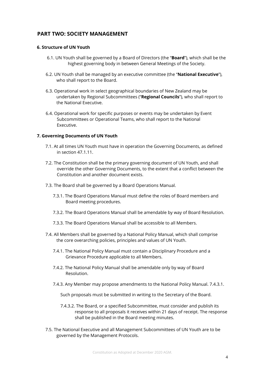# **PART TWO: SOCIETY MANAGEMENT**

## **6. Structure of UN Youth**

- 6.1. UN Youth shall be governed by a Board of Directors (the "**Board**"), which shall be the highest governing body in between General Meetings of the Society.
- 6.2. UN Youth shall be managed by an executive committee (the "**National Executive**"), who shall report to the Board.
- 6.3. Operational work in select geographical boundaries of New Zealand may be undertaken by Regional Subcommittees ("**Regional Councils**"), who shall report to the National Executive.
- 6.4. Operational work for specific purposes or events may be undertaken by Event Subcommittees or Operational Teams, who shall report to the National Executive.

## **7. Governing Documents of UN Youth**

- 7.1. At all times UN Youth must have in operation the Governing Documents, as defined in section 47.1.11.
- 7.2. The Constitution shall be the primary governing document of UN Youth, and shall override the other Governing Documents, to the extent that a conflict between the Constitution and another document exists.
- 7.3. The Board shall be governed by a Board Operations Manual.
	- 7.3.1. The Board Operations Manual must define the roles of Board members and Board meeting procedures.
	- 7.3.2. The Board Operations Manual shall be amendable by way of Board Resolution.
	- 7.3.3. The Board Operations Manual shall be accessible to all Members.
- 7.4. All Members shall be governed by a National Policy Manual, which shall comprise the core overarching policies, principles and values of UN Youth.
	- 7.4.1. The National Policy Manual must contain a Disciplinary Procedure and a Grievance Procedure applicable to all Members.
	- 7.4.2. The National Policy Manual shall be amendable only by way of Board Resolution.
	- 7.4.3. Any Member may propose amendments to the National Policy Manual. 7.4.3.1.

Such proposals must be submitted in writing to the Secretary of the Board.

- 7.4.3.2. The Board, or a specified Subcommittee, must consider and publish its response to all proposals it receives within 21 days of receipt. The response shall be published in the Board meeting minutes.
- 7.5. The National Executive and all Management Subcommittees of UN Youth are to be governed by the Management Protocols.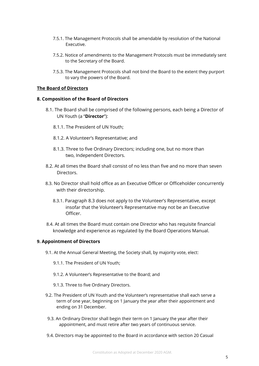- 7.5.1. The Management Protocols shall be amendable by resolution of the National Executive.
- 7.5.2. Notice of amendments to the Management Protocols must be immediately sent to the Secretary of the Board.
- 7.5.3. The Management Protocols shall not bind the Board to the extent they purport to vary the powers of the Board.

#### **The Board of Directors**

#### **8. Composition of the Board of Directors**

- 8.1. The Board shall be comprised of the following persons, each being a Director of UN Youth (a "**Director**"):
	- 8.1.1. The President of UN Youth;
	- 8.1.2. A Volunteer's Representative; and
	- 8.1.3. Three to five Ordinary Directors; including one, but no more than two, Independent Directors.
- 8.2. At all times the Board shall consist of no less than five and no more than seven **Directors**
- 8.3. No Director shall hold office as an Executive Officer or Officeholder concurrently with their directorship.
	- 8.3.1. Paragraph 8.3 does not apply to the Volunteer's Representative, except insofar that the Volunteer's Representative may not be an Executive Officer.
- 8.4. At all times the Board must contain one Director who has requisite financial knowledge and experience as regulated by the Board Operations Manual.

#### **9. Appointment of Directors**

- 9.1. At the Annual General Meeting, the Society shall, by majority vote, elect:
	- 9.1.1. The President of UN Youth;
	- 9.1.2. A Volunteer's Representative to the Board; and
	- 9.1.3. Three to five Ordinary Directors.
- 9.2. The President of UN Youth and the Volunteer's representative shall each serve a term of one year, beginning on 1 January the year after their appointment and ending on 31 December.
- 9.3. An Ordinary Director shall begin their term on 1 January the year after their appointment, and must retire after two years of continuous service.
- 9.4. Directors may be appointed to the Board in accordance with section 20 Casual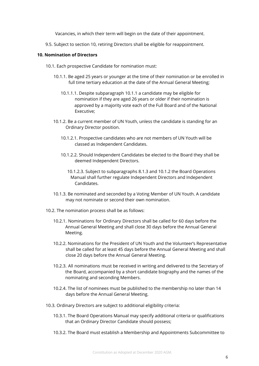Vacancies, in which their term will begin on the date of their appointment.

9.5. Subject to section 10, retiring Directors shall be eligible for reappointment.

#### **10. Nomination of Directors**

- 10.1. Each prospective Candidate for nomination must:
	- 10.1.1. Be aged 25 years or younger at the time of their nomination or be enrolled in full time tertiary education at the date of the Annual General Meeting;
		- 10.1.1.1. Despite subparagraph 10.1.1 a candidate may be eligible for nomination if they are aged 26 years or older if their nomination is approved by a majority vote each of the Full Board and of the National Executive;
	- 10.1.2. Be a current member of UN Youth, unless the candidate is standing for an Ordinary Director position.
		- 10.1.2.1. Prospective candidates who are not members of UN Youth will be classed as Independent Candidates.
		- 10.1.2.2. Should Independent Candidates be elected to the Board they shall be deemed Independent Directors.
			- 10.1.2.3. Subject to subparagraphs 8.1.3 and 10.1.2 the Board Operations Manual shall further regulate Independent Directors and Independent Candidates.
	- 10.1.3. Be nominated and seconded by a Voting Member of UN Youth. A candidate may not nominate or second their own nomination.
- 10.2. The nomination process shall be as follows:
	- 10.2.1. Nominations for Ordinary Directors shall be called for 60 days before the Annual General Meeting and shall close 30 days before the Annual General Meeting.
	- 10.2.2. Nominations for the President of UN Youth and the Volunteer's Representative shall be called for at least 45 days before the Annual General Meeting and shall close 20 days before the Annual General Meeting.
	- 10.2.3. All nominations must be received in writing and delivered to the Secretary of the Board, accompanied by a short candidate biography and the names of the nominating and seconding Members.
	- 10.2.4. The list of nominees must be published to the membership no later than 14 days before the Annual General Meeting.
- 10.3. Ordinary Directors are subject to additional eligibility criteria:
	- 10.3.1. The Board Operations Manual may specify additional criteria or qualifications that an Ordinary Director Candidate should possess;
	- 10.3.2. The Board must establish a Membership and Appointments Subcommittee to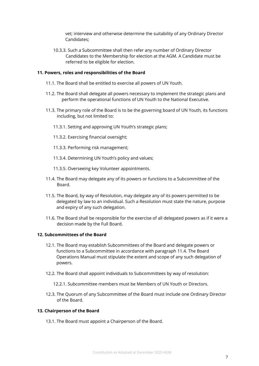vet; interview and otherwise determine the suitability of any Ordinary Director Candidates;

10.3.3. Such a Subcommittee shall then refer any number of Ordinary Director Candidates to the Membership for election at the AGM. A Candidate must be referred to be eligible for election.

#### **11. Powers, roles and responsibilities of the Board**

- 11.1. The Board shall be entitled to exercise all powers of UN Youth.
- 11.2. The Board shall delegate all powers necessary to implement the strategic plans and perform the operational functions of UN Youth to the National Executive.
- 11.3. The primary role of the Board is to be the governing board of UN Youth, its functions including, but not limited to:
	- 11.3.1. Setting and approving UN Youth's strategic plans;
	- 11.3.2. Exercising financial oversight;
	- 11.3.3. Performing risk management;
	- 11.3.4. Determining UN Youth's policy and values;
	- 11.3.5. Overseeing key Volunteer appointments.
- 11.4. The Board may delegate any of its powers or functions to a Subcommittee of the Board.
- 11.5. The Board, by way of Resolution, may delegate any of its powers permitted to be delegated by law to an individual. Such a Resolution must state the nature, purpose and expiry of any such delegation.
- 11.6. The Board shall be responsible for the exercise of all delegated powers as if it were a decision made by the Full Board.

## **12. Subcommittees of the Board**

- 12.1. The Board may establish Subcommittees of the Board and delegate powers or functions to a Subcommittee in accordance with paragraph 11.4. The Board Operations Manual must stipulate the extent and scope of any such delegation of powers.
- 12.2. The Board shall appoint individuals to Subcommittees by way of resolution:
	- 12.2.1. Subcommittee members must be Members of UN Youth or Directors.
- 12.3. The Quorum of any Subcommittee of the Board must include one Ordinary Director of the Board.

#### **13. Chairperson of the Board**

13.1. The Board must appoint a Chairperson of the Board.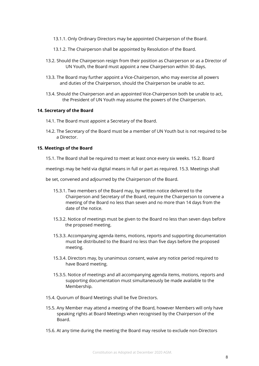- 13.1.1. Only Ordinary Directors may be appointed Chairperson of the Board.
- 13.1.2. The Chairperson shall be appointed by Resolution of the Board.
- 13.2. Should the Chairperson resign from their position as Chairperson or as a Director of UN Youth, the Board must appoint a new Chairperson within 30 days.
- 13.3. The Board may further appoint a Vice-Chairperson, who may exercise all powers and duties of the Chairperson, should the Chairperson be unable to act.
- 13.4. Should the Chairperson and an appointed Vice-Chairperson both be unable to act, the President of UN Youth may assume the powers of the Chairperson.

## **14. Secretary of the Board**

- 14.1. The Board must appoint a Secretary of the Board.
- 14.2. The Secretary of the Board must be a member of UN Youth but is not required to be a Director.

#### **15. Meetings of the Board**

15.1. The Board shall be required to meet at least once every six weeks. 15.2. Board

meetings may be held via digital means in full or part as required. 15.3. Meetings shall

be set, convened and adjourned by the Chairperson of the Board.

- 15.3.1. Two members of the Board may, by written notice delivered to the Chairperson and Secretary of the Board, require the Chairperson to convene a meeting of the Board no less than seven and no more than 14 days from the date of the notice.
- 15.3.2. Notice of meetings must be given to the Board no less than seven days before the proposed meeting.
- 15.3.3. Accompanying agenda items, motions, reports and supporting documentation must be distributed to the Board no less than five days before the proposed meeting.
- 15.3.4. Directors may, by unanimous consent, waive any notice period required to have Board meeting.
- 15.3.5. Notice of meetings and all accompanying agenda items, motions, reports and supporting documentation must simultaneously be made available to the Membership.
- 15.4. Quorum of Board Meetings shall be five Directors.
- 15.5. Any Member may attend a meeting of the Board, however Members will only have speaking rights at Board Meetings when recognised by the Chairperson of the Board.
- 15.6. At any time during the meeting the Board may resolve to exclude non-Directors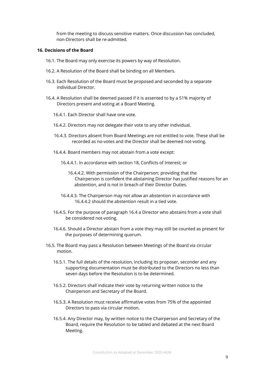from the meeting to discuss sensitive matters. Once discussion has concluded, non-Directors shall be re-admitted.

#### **16. Decisions of the Board**

- 16.1. The Board may only exercise its powers by way of Resolution.
- 16.2. A Resolution of the Board shall be binding on all Members.
- 16.3. Each Resolution of the Board must be proposed and seconded by a separate individual Director.
- 16.4. A Resolution shall be deemed passed if it is assented to by a 51% majority of Directors present and voting at a Board Meeting.
	- 16.4.1. Each Director shall have one vote.
	- 16.4.2. Directors may not delegate their vote to any other individual.
	- 16.4.3. Directors absent from Board Meetings are not entitled to vote. These shall be recorded as no-votes and the Director shall be deemed not-voting.
	- 16.4.4. Board members may not abstain from a vote except:
		- 16.4.4.1. In accordance with section 18, Conflicts of Interest; or
			- 16.4.4.2. With permission of the Chairperson; providing that the Chairperson is confident the abstaining Director has justified reasons for an abstention, and is not in breach of their Director Duties.
		- 16.4.4.3. The Chairperson may not allow an abstention in accordance with 16.4.4.2 should the abstention result in a tied vote.
	- 16.4.5. For the purpose of paragraph 16.4 a Director who abstains from a vote shall be considered not-voting.
	- 16.4.6. Should a Director abstain from a vote they may still be counted as present for the purposes of determining quorum.
- 16.5. The Board may pass a Resolution between Meetings of the Board via circular motion.
	- 16.5.1. The full details of the resolution, including its proposer, seconder and any supporting documentation must be distributed to the Directors no less than seven days before the Resolution is to be determined.
	- 16.5.2. Directors shall indicate their vote by returning written notice to the Chairperson and Secretary of the Board.
	- 16.5.3. A Resolution must receive affirmative votes from 75% of the appointed Directors to pass via circular motion.
	- 16.5.4. Any Director may, by written notice to the Chairperson and Secretary of the Board, require the Resolution to be tabled and debated at the next Board Meeting.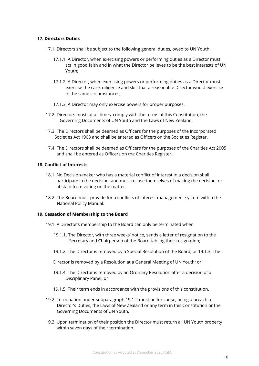### **17. Directors Duties**

- 17.1. Directors shall be subject to the following general duties, owed to UN Youth:
	- 17.1.1. A Director, when exercising powers or performing duties as a Director must act in good faith and in what the Director believes to be the best interests of UN Youth;
	- 17.1.2. A Director, when exercising powers or performing duties as a Director must exercise the care, diligence and skill that a reasonable Director would exercise in the same circumstances;
	- 17.1.3. A Director may only exercise powers for proper purposes.
- 17.2. Directors must, at all times, comply with the terms of this Constitution, the Governing Documents of UN Youth and the Laws of New Zealand.
- 17.3. The Directors shall be deemed as Officers for the purposes of the Incorporated Societies Act 1908 and shall be entered as Officers on the Societies Register.
- 17.4. The Directors shall be deemed as Officers for the purposes of the Charities Act 2005 and shall be entered as Officers on the Charities Register.

#### **18. Conflict of Interests**

- 18.1. No Decision-maker who has a material conflict of interest in a decision shall participate in the decision, and must recuse themselves of making the decision, or abstain from voting on the matter.
- 18.2. The Board must provide for a conflicts of interest management system within the National Policy Manual.

#### **19. Cessation of Membership to the Board**

- 19.1. A Director's membership to the Board can only be terminated when:
	- 19.1.1. The Director, with three weeks' notice, sends a letter of resignation to the Secretary and Chairperson of the Board tabling their resignation;
	- 19.1.2. The Director is removed by a Special Resolution of the Board; or 19.1.3. The

Director is removed by a Resolution at a General Meeting of UN Youth; or

- 19.1.4. The Director is removed by an Ordinary Resolution after a decision of a Disciplinary Panel; or
- 19.1.5. Their term ends in accordance with the provisions of this constitution.
- 19.2. Termination under subparagraph 19.1.2 must be for cause, being a breach of Director's Duties, the Laws of New Zealand or any term in this Constitution or the Governing Documents of UN Youth.
- 19.3. Upon termination of their position the Director must return all UN Youth property within seven days of their termination.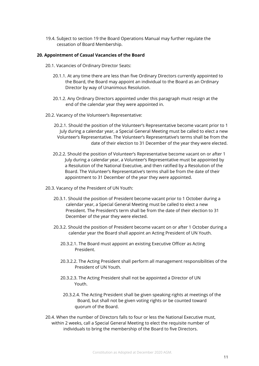19.4. Subject to section 19 the Board Operations Manual may further regulate the cessation of Board Membership.

#### **20. Appointment of Casual Vacancies of the Board**

- 20.1. Vacancies of Ordinary Director Seats:
	- 20.1.1. At any time there are less than five Ordinary Directors currently appointed to the Board, the Board may appoint an individual to the Board as an Ordinary Director by way of Unanimous Resolution.
	- 20.1.2. Any Ordinary Directors appointed under this paragraph must resign at the end of the calendar year they were appointed in.
- 20.2. Vacancy of the Volunteer's Representative:
	- 20.2.1. Should the position of the Volunteer's Representative become vacant prior to 1 July during a calendar year, a Special General Meeting must be called to elect a new Volunteer's Representative. The Volunteer's Representative's terms shall be from the date of their election to 31 December of the year they were elected.
	- 20.2.2. Should the position of Volunteer's Representative become vacant on or after 1 July during a calendar year, a Volunteer's Representative must be appointed by a Resolution of the National Executive, and then ratified by a Resolution of the Board. The Volunteer's Representative's terms shall be from the date of their appointment to 31 December of the year they were appointed.
- 20.3. Vacancy of the President of UN Youth:
	- 20.3.1. Should the position of President become vacant prior to 1 October during a calendar year, a Special General Meeting must be called to elect a new President. The President's term shall be from the date of their election to 31 December of the year they were elected.
	- 20.3.2. Should the position of President become vacant on or after 1 October during a calendar year the Board shall appoint an Acting President of UN Youth.
		- 20.3.2.1. The Board must appoint an existing Executive Officer as Acting President.
		- 20.3.2.2. The Acting President shall perform all management responsibilities of the President of UN Youth.
		- 20.3.2.3. The Acting President shall not be appointed a Director of UN Youth.
		- 20.3.2.4. The Acting President shall be given speaking rights at meetings of the Board, but shall not be given voting rights or be counted toward quorum of the Board.
- 20.4. When the number of Directors falls to four or less the National Executive must, within 2 weeks, call a Special General Meeting to elect the requisite number of individuals to bring the membership of the Board to five Directors.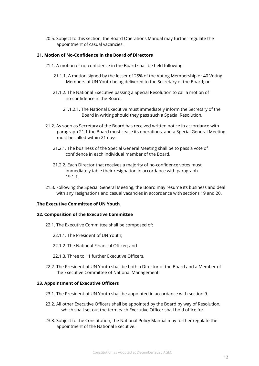20.5. Subject to this section, the Board Operations Manual may further regulate the appointment of casual vacancies.

### **21. Motion of No-Confidence in the Board of Directors**

- 21.1. A motion of no-confidence in the Board shall be held following:
	- 21.1.1. A motion signed by the lesser of 25% of the Voting Membership or 40 Voting Members of UN Youth being delivered to the Secretary of the Board; or
	- 21.1.2. The National Executive passing a Special Resolution to call a motion of no-confidence in the Board.
		- 21.1.2.1. The National Executive must immediately inform the Secretary of the Board in writing should they pass such a Special Resolution.
- 21.2. As soon as Secretary of the Board has received written notice in accordance with paragraph 21.1 the Board must cease its operations, and a Special General Meeting must be called within 21 days.
	- 21.2.1. The business of the Special General Meeting shall be to pass a vote of confidence in each individual member of the Board.
	- 21.2.2. Each Director that receives a majority of no-confidence votes must immediately table their resignation in accordance with paragraph 19.1.1.
- 21.3. Following the Special General Meeting, the Board may resume its business and deal with any resignations and casual vacancies in accordance with sections 19 and 20.

#### **The Executive Committee of UN Youth**

#### **22. Composition of the Executive Committee**

- 22.1. The Executive Committee shall be composed of:
	- 22.1.1. The President of UN Youth;
	- 22.1.2. The National Financial Officer; and
	- 22.1.3. Three to 11 further Executive Officers.
- 22.2. The President of UN Youth shall be both a Director of the Board and a Member of the Executive Committee of National Management.

#### **23. Appointment of Executive Officers**

- 23.1. The President of UN Youth shall be appointed in accordance with section 9.
- 23.2. All other Executive Officers shall be appointed by the Board by way of Resolution, which shall set out the term each Executive Officer shall hold office for.
- 23.3. Subject to the Constitution, the National Policy Manual may further regulate the appointment of the National Executive.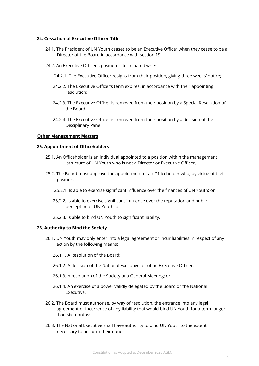#### **24. Cessation of Executive Officer Title**

- 24.1. The President of UN Youth ceases to be an Executive Officer when they cease to be a Director of the Board in accordance with section 19.
- 24.2. An Executive Officer's position is terminated when:
	- 24.2.1. The Executive Officer resigns from their position, giving three weeks' notice;
	- 24.2.2. The Executive Officer's term expires, in accordance with their appointing resolution;
	- 24.2.3. The Executive Officer is removed from their position by a Special Resolution of the Board.
	- 24.2.4. The Executive Officer is removed from their position by a decision of the Disciplinary Panel.

#### **Other Management Matters**

#### **25. Appointment of Officeholders**

- 25.1. An Officeholder is an individual appointed to a position within the management structure of UN Youth who is not a Director or Executive Officer.
- 25.2. The Board must approve the appointment of an Officeholder who, by virtue of their position:
	- 25.2.1. Is able to exercise significant influence over the finances of UN Youth; or
	- 25.2.2. Is able to exercise significant influence over the reputation and public perception of UN Youth; or
	- 25.2.3. Is able to bind UN Youth to significant liability.

#### **26. Authority to Bind the Society**

- 26.1. UN Youth may only enter into a legal agreement or incur liabilities in respect of any action by the following means:
	- 26.1.1. A Resolution of the Board;
	- 26.1.2. A decision of the National Executive, or of an Executive Officer;
	- 26.1.3. A resolution of the Society at a General Meeting; or
	- 26.1.4. An exercise of a power validly delegated by the Board or the National Executive.
- 26.2. The Board must authorise, by way of resolution, the entrance into any legal agreement or incurrence of any liability that would bind UN Youth for a term longer than six months:
- 26.3. The National Executive shall have authority to bind UN Youth to the extent necessary to perform their duties.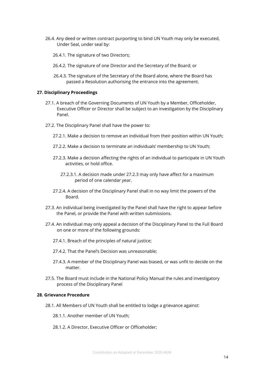- 26.4. Any deed or written contract purporting to bind UN Youth may only be executed, Under Seal, under seal by:
	- 26.4.1. The signature of two Directors;
	- 26.4.2. The signature of one Director and the Secretary of the Board; or
	- 26.4.3. The signature of the Secretary of the Board alone, where the Board has passed a Resolution authorising the entrance into the agreement.

#### **27. Disciplinary Proceedings**

- 27.1. A breach of the Governing Documents of UN Youth by a Member, Officeholder, Executive Officer or Director shall be subject to an investigation by the Disciplinary Panel.
- 27.2. The Disciplinary Panel shall have the power to:
	- 27.2.1. Make a decision to remove an individual from their position within UN Youth;
	- 27.2.2. Make a decision to terminate an individuals' membership to UN Youth;
	- 27.2.3. Make a decision affecting the rights of an individual to participate in UN Youth activities, or hold office.
		- 27.2.3.1. A decision made under 27.2.3 may only have affect for a maximum period of one calendar year.
	- 27.2.4. A decision of the Disciplinary Panel shall in no way limit the powers of the Board.
- 27.3. An individual being investigated by the Panel shall have the right to appear before the Panel, or provide the Panel with written submissions.
- 27.4. An individual may only appeal a decision of the Disciplinary Panel to the Full Board on one or more of the following grounds:
	- 27.4.1. Breach of the principles of natural justice;
	- 27.4.2. That the Panel's Decision was unreasonable;
	- 27.4.3. A member of the Disciplinary Panel was biased, or was unfit to decide on the matter.
- 27.5. The Board must include in the National Policy Manual the rules and investigatory process of the Disciplinary Panel

#### **28. Grievance Procedure**

- 28.1. All Members of UN Youth shall be entitled to lodge a grievance against:
	- 28.1.1. Another member of UN Youth;
	- 28.1.2. A Director, Executive Officer or Officeholder;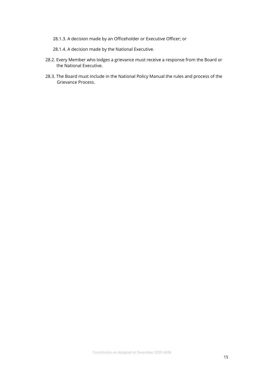- 28.1.3. A decision made by an Officeholder or Executive Officer; or
- 28.1.4. A decision made by the National Executive.
- 28.2. Every Member who lodges a grievance must receive a response from the Board or the National Executive.
- 28.3. The Board must include in the National Policy Manual the rules and process of the Grievance Process.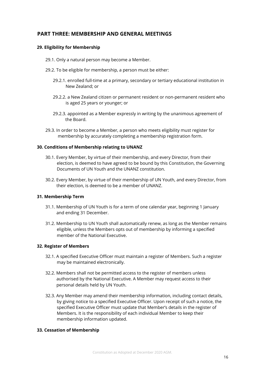# **PART THREE: MEMBERSHIP AND GENERAL MEETINGS**

# **29. Eligibility for Membership**

- 29.1. Only a natural person may become a Member.
- 29.2. To be eligible for membership, a person must be either:
	- 29.2.1. enrolled full-time at a primary, secondary or tertiary educational institution in New Zealand; or
	- 29.2.2. a New Zealand citizen or permanent resident or non-permanent resident who is aged 25 years or younger; or
	- 29.2.3. appointed as a Member expressly in writing by the unanimous agreement of the Board.
- 29.3. In order to become a Member, a person who meets eligibility must register for membership by accurately completing a membership registration form.

## **30. Conditions of Membership relating to UNANZ**

- 30.1. Every Member, by virtue of their membership, and every Director, from their election, is deemed to have agreed to be bound by this Constitution, the Governing Documents of UN Youth and the UNANZ constitution.
- 30.2. Every Member, by virtue of their membership of UN Youth, and every Director, from their election, is deemed to be a member of UNANZ.

# **31. Membership Term**

- 31.1. Membership of UN Youth is for a term of one calendar year, beginning 1 January and ending 31 December.
- 31.2. Membership to UN Youth shall automatically renew, as long as the Member remains eligible, unless the Members opts out of membership by informing a specified member of the National Executive.

# **32. Register of Members**

- 32.1. A specified Executive Officer must maintain a register of Members. Such a register may be maintained electronically.
- 32.2. Members shall not be permitted access to the register of members unless authorised by the National Executive. A Member may request access to their personal details held by UN Youth.
- 32.3. Any Member may amend their membership information, including contact details, by giving notice to a specified Executive Officer. Upon receipt of such a notice, the specified Executive Officer must update that Member's details in the register of Members. It is the responsibility of each individual Member to keep their membership information updated.

#### **33. Cessation of Membership**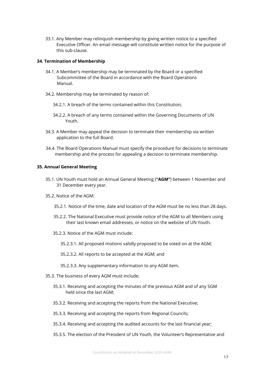33.1. Any Member may relinquish membership by giving written notice to a specified Executive Officer. An email message will constitute written notice for the purpose of this sub-clause.

#### **34. Termination of Membership**

- 34.1. A Member's membership may be terminated by the Board or a specified Subcommittee of the Board in accordance with the Board Operations Manual.
- 34.2. Membership may be terminated by reason of:
	- 34.2.1. A breach of the terms contained within this Constitution;
	- 34.2.2. A breach of any terms contained within the Governing Documents of UN Youth.
- 34.3. A Member may appeal the decision to terminate their membership via written application to the full Board.
- 34.4. The Board Operations Manual must specify the procedure for decisions to terminate membership and the process for appealing a decision to terminate membership.

#### **35. Annual General Meeting**

- 35.1. UN Youth must hold an Annual General Meeting (**"AGM"**) between 1 November and 31 December every year.
- 35.2. Notice of the AGM:
	- 35.2.1. Notice of the time, date and location of the AGM must be no less than 28 days.
	- 35.2.2. The National Executive must provide notice of the AGM to all Members using their last known email addresses, or notice on the website of UN Youth.
	- 35.2.3. Notice of the AGM must include:
		- 35.2.3.1. All proposed motions validly proposed to be voted on at the AGM;
		- 35.2.3.2. All reports to be accepted at the AGM; and
		- 35.2.3.3. Any supplementary information to any AGM item.
- 35.3. The business of every AGM must include:
	- 35.3.1. Receiving and accepting the minutes of the previous AGM and of any SGM held since the last AGM;
	- 35.3.2. Receiving and accepting the reports from the National Executive;
	- 35.3.3. Receiving and accepting the reports from Regional Councils;
	- 35.3.4. Receiving and accepting the audited accounts for the last financial year;
	- 35.3.5. The election of the President of UN Youth, the Volunteer's Representative and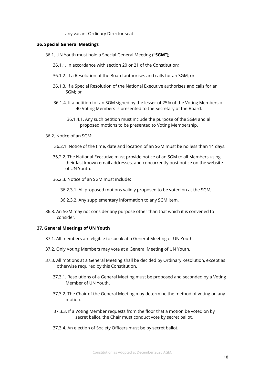any vacant Ordinary Director seat.

#### **36. Special General Meetings**

- 36.1. UN Youth must hold a Special General Meeting (**"SGM"**);
	- 36.1.1. In accordance with section 20 or 21 of the Constitution;
	- 36.1.2. If a Resolution of the Board authorises and calls for an SGM; or
	- 36.1.3. If a Special Resolution of the National Executive authorises and calls for an SGM; or
	- 36.1.4. If a petition for an SGM signed by the lesser of 25% of the Voting Members or 40 Voting Members is presented to the Secretary of the Board.
		- 36.1.4.1. Any such petition must include the purpose of the SGM and all proposed motions to be presented to Voting Membership.
- 36.2. Notice of an SGM:
	- 36.2.1. Notice of the time, date and location of an SGM must be no less than 14 days.
	- 36.2.2. The National Executive must provide notice of an SGM to all Members using their last known email addresses, and concurrently post notice on the website of UN Youth.
	- 36.2.3. Notice of an SGM must include:
		- 36.2.3.1. All proposed motions validly proposed to be voted on at the SGM;
		- 36.2.3.2. Any supplementary information to any SGM item.
- 36.3. An SGM may not consider any purpose other than that which it is convened to consider.

#### **37. General Meetings of UN Youth**

- 37.1. All members are eligible to speak at a General Meeting of UN Youth.
- 37.2. Only Voting Members may vote at a General Meeting of UN Youth.
- 37.3. All motions at a General Meeting shall be decided by Ordinary Resolution, except as otherwise required by this Constitution.
	- 37.3.1. Resolutions of a General Meeting must be proposed and seconded by a Voting Member of UN Youth.
	- 37.3.2. The Chair of the General Meeting may determine the method of voting on any motion.
	- 37.3.3. If a Voting Member requests from the floor that a motion be voted on by secret ballot, the Chair must conduct vote by secret ballot.
	- 37.3.4. An election of Society Officers must be by secret ballot.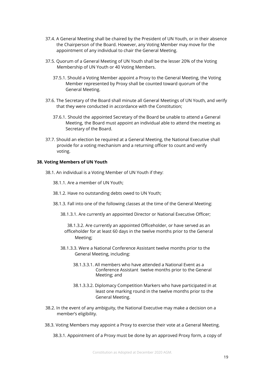- 37.4. A General Meeting shall be chaired by the President of UN Youth, or in their absence the Chairperson of the Board. However, any Voting Member may move for the appointment of any individual to chair the General Meeting.
- 37.5. Quorum of a General Meeting of UN Youth shall be the lesser 20% of the Voting Membership of UN Youth or 40 Voting Members.
	- 37.5.1. Should a Voting Member appoint a Proxy to the General Meeting, the Voting Member represented by Proxy shall be counted toward quorum of the General Meeting.
- 37.6. The Secretary of the Board shall minute all General Meetings of UN Youth, and verify that they were conducted in accordance with the Constitution;
	- 37.6.1. Should the appointed Secretary of the Board be unable to attend a General Meeting, the Board must appoint an individual able to attend the meeting as Secretary of the Board.
- 37.7. Should an election be required at a General Meeting, the National Executive shall provide for a voting mechanism and a returning officer to count and verify voting.

#### **38. Voting Members of UN Youth**

- 38.1. An individual is a Voting Member of UN Youth if they:
	- 38.1.1. Are a member of UN Youth;
	- 38.1.2. Have no outstanding debts owed to UN Youth;
	- 38.1.3. Fall into one of the following classes at the time of the General Meeting:
		- 38.1.3.1. Are currently an appointed Director or National Executive Officer;

38.1.3.2. Are currently an appointed Officeholder, or have served as an officeholder for at least 60 days in the twelve months prior to the General Meeting;

- 38.1.3.3. Were a National Conference Assistant twelve months prior to the General Meeting, including:
	- 38.1.3.3.1. All members who have attended a National Event as a Conference Assistant twelve months prior to the General Meeting; and
	- 38.1.3.3.2. Diplomacy Competition Markers who have participated in at least one marking round in the twelve months prior to the General Meeting.
- 38.2. In the event of any ambiguity, the National Executive may make a decision on a member's eligibility.
- 38.3. Voting Members may appoint a Proxy to exercise their vote at a General Meeting.

38.3.1. Appointment of a Proxy must be done by an approved Proxy form, a copy of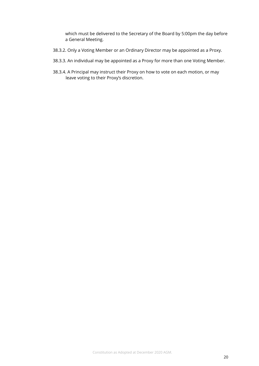which must be delivered to the Secretary of the Board by 5:00pm the day before a General Meeting.

- 38.3.2. Only a Voting Member or an Ordinary Director may be appointed as a Proxy.
- 38.3.3. An individual may be appointed as a Proxy for more than one Voting Member.
- 38.3.4. A Principal may instruct their Proxy on how to vote on each motion, or may leave voting to their Proxy's discretion.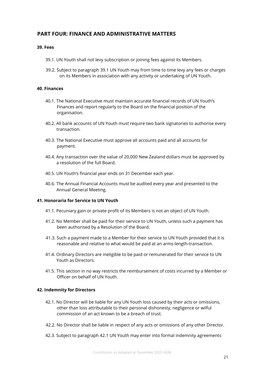# **PART FOUR: FINANCE AND ADMINISTRATIVE MATTERS**

### **39. Fees**

- 39.1. UN Youth shall not levy subscription or joining fees against its Members.
- 39.2. Subject to paragraph 39.1 UN Youth may from time to time levy any fees or charges on its Members in association with any activity or undertaking of UN Youth.

### **40. Finances**

- 40.1. The National Executive must maintain accurate financial records of UN Youth's Finances and report regularly to the Board on the financial position of the organisation.
- 40.2. All bank accounts of UN Youth must require two bank signatories to authorise every transaction.
- 40.3. The National Executive must approve all accounts paid and all accounts for payment.
- 40.4. Any transaction over the value of 20,000 New Zealand dollars must be approved by a resolution of the full Board.
- 40.5. UN Youth's financial year ends on 31 December each year.
- 40.6. The Annual Financial Accounts must be audited every year and presented to the Annual General Meeting.

#### **41. Honoraria for Service to UN Youth**

- 41.1. Pecuniary gain or private profit of its Members is not an object of UN Youth.
- 41.2. No Member shall be paid for their service to UN Youth, unless such a payment has been authorised by a Resolution of the Board.
- 41.3. Such a payment made to a Member for their service to UN Youth provided that it is reasonable and relative to what would be paid at an arms-length-transaction.
- 41.4. Ordinary Directors are ineligible to be paid or remunerated for their service to UN Youth as Directors.
- 41.5. This section in no way restricts the reimbursement of costs incurred by a Member or Officer on behalf of UN Youth.

#### **42. Indemnity for Directors**

- 42.1. No Director will be liable for any UN Youth loss caused by their acts or omissions, other than loss attributable to their personal dishonesty, negligence or wilful commission of an act known to be a breach of trust.
- 42.2. No Director shall be liable in respect of any acts or omissions of any other Director.
- 42.3. Subject to paragraph 42.1 UN Youth may enter into formal indemnity agreements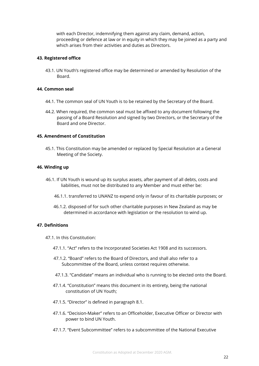with each Director, indemnifying them against any claim, demand, action, proceeding or defence at law or in equity in which they may be joined as a party and which arises from their activities and duties as Directors.

#### **43. Registered office**

43.1. UN Youth's registered office may be determined or amended by Resolution of the Board.

#### **44. Common seal**

- 44.1. The common seal of UN Youth is to be retained by the Secretary of the Board.
- 44.2. When required, the common seal must be affixed to any document following the passing of a Board Resolution and signed by two Directors, or the Secretary of the Board and one Director.

#### **45. Amendment of Constitution**

45.1. This Constitution may be amended or replaced by Special Resolution at a General Meeting of the Society.

#### **46. Winding up**

- 46.1. If UN Youth is wound up its surplus assets, after payment of all debts, costs and liabilities, must not be distributed to any Member and must either be:
	- 46.1.1. transferred to UNANZ to expend only in favour of its charitable purposes; or
	- 46.1.2. disposed of for such other charitable purposes in New Zealand as may be determined in accordance with legislation or the resolution to wind up.

# **47. Definitions**

- 47.1. In this Constitution:
	- 47.1.1. "Act" refers to the Incorporated Societies Act 1908 and its successors.
	- 47.1.2. "Board" refers to the Board of Directors, and shall also refer to a Subcommittee of the Board, unless context requires otherwise.
	- 47.1.3. "Candidate" means an individual who is running to be elected onto the Board.
	- 47.1.4. "Constitution" means this document in its entirety, being the national constitution of UN Youth;
	- 47.1.5. "Director" is defined in paragraph 8.1.
	- 47.1.6. "Decision-Maker" refers to an Officeholder, Executive Officer or Director with power to bind UN Youth.
	- 47.1.7. "Event Subcommittee" refers to a subcommittee of the National Executive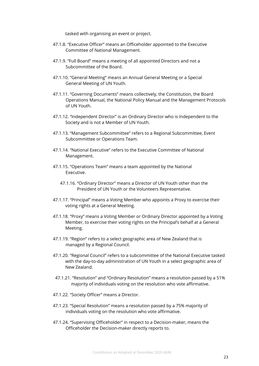tasked with organising an event or project.

- 47.1.8. "Executive Officer" means an Officeholder appointed to the Executive Committee of National Management.
- 47.1.9. "Full Board" means a meeting of all appointed Directors and not a Subcommittee of the Board.
- 47.1.10. "General Meeting" means an Annual General Meeting or a Special General Meeting of UN Youth.
- 47.1.11. "Governing Documents" means collectively, the Constitution, the Board Operations Manual, the National Policy Manual and the Management Protocols of UN Youth.
- 47.1.12. "Independent Director" is an Ordinary Director who is Independent to the Society and is not a Member of UN Youth.
- 47.1.13. "Management Subcommittee" refers to a Regional Subcommittee, Event Subcommittee or Operations Team.
- 47.1.14. "National Executive" refers to the Executive Committee of National Management.
- 47.1.15. "Operations Team" means a team appointed by the National Executive.
	- 47.1.16. "Ordinary Director" means a Director of UN Youth other than the President of UN Youth or the Volunteers Representative.
- 47.1.17. "Principal" means a Voting Member who appoints a Proxy to exercise their voting rights at a General Meeting.
- 47.1.18. "Proxy" means a Voting Member or Ordinary Director appointed by a Voting Member, to exercise their voting rights on the Principal's behalf at a General Meeting.
- 47.1.19. "Region" refers to a select geographic area of New Zealand that is managed by a Regional Council.
- 47.1.20. "Regional Council" refers to a subcommittee of the National Executive tasked with the day-to-day administration of UN Youth in a select geographic area of New Zealand.
- 47.1.21. "Resolution" and "Ordinary Resolution" means a resolution passed by a 51% majority of individuals voting on the resolution who vote affirmative.
- 47.1.22. "Society Officer" means a Director.
- 47.1.23. "Special Resolution" means a resolution passed by a 75% majority of individuals voting on the resolution who vote affirmative.
- 47.1.24. "Supervising Officeholder" in respect to a Decision-maker, means the Officeholder the Decision-maker directly reports to.